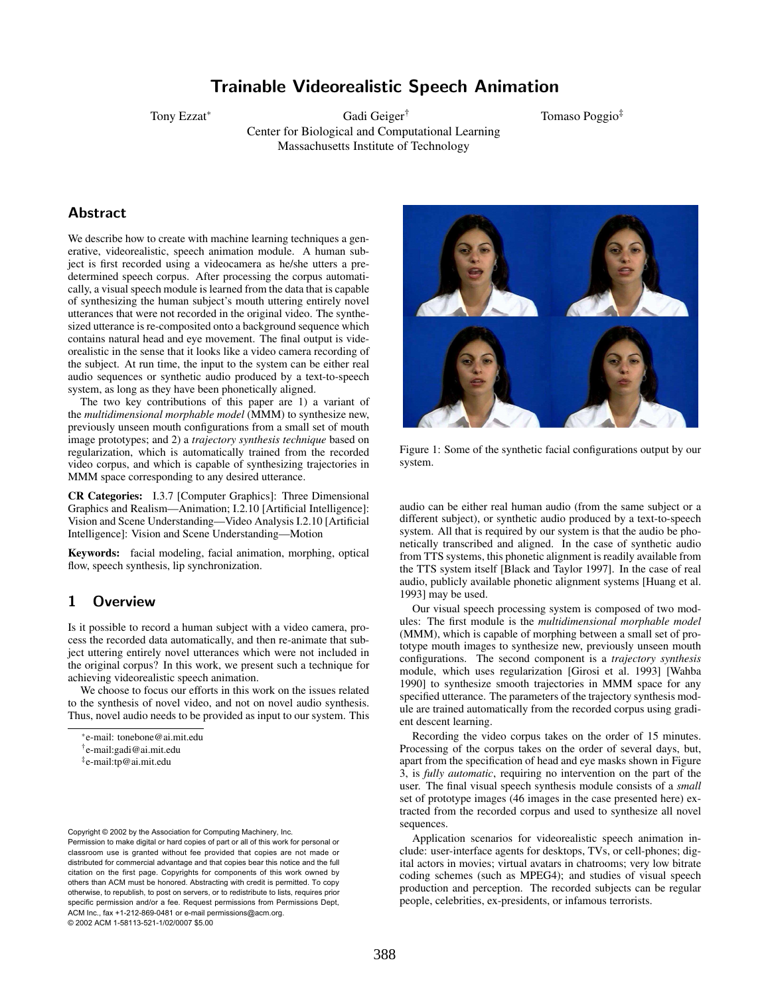# Trainable Videorealistic Speech Animation

Tony Ezzat<sup>∗</sup> Gadi Geiger† Center for Biological and Computational Learning Massachusetts Institute of Technology

Tomaso Poggio‡

### Abstract

We describe how to create with machine learning techniques a generative, videorealistic, speech animation module. A human subject is first recorded using a videocamera as he/she utters a predetermined speech corpus. After processing the corpus automatically, a visual speech module is learned from the data that is capable of synthesizing the human subject's mouth uttering entirely novel utterances that were not recorded in the original video. The synthesized utterance is re-composited onto a background sequence which contains natural head and eye movement. The final output is videorealistic in the sense that it looks like a video camera recording of the subject. At run time, the input to the system can be either real audio sequences or synthetic audio produced by a text-to-speech system, as long as they have been phonetically aligned.

The two key contributions of this paper are 1) a variant of the *multidimensional morphable model* (MMM) to synthesize new, previously unseen mouth configurations from a small set of mouth image prototypes; and 2) a *trajectory synthesis technique* based on regularization, which is automatically trained from the recorded video corpus, and which is capable of synthesizing trajectories in MMM space corresponding to any desired utterance.

**CR Categories:** I.3.7 [Computer Graphics]: Three Dimensional Graphics and Realism—Animation; I.2.10 [Artificial Intelligence]: Vision and Scene Understanding—Video Analysis I.2.10 [Artificial Intelligence]: Vision and Scene Understanding—Motion

**Keywords:** facial modeling, facial animation, morphing, optical flow, speech synthesis, lip synchronization.

# 1 Overview

Is it possible to record a human subject with a video camera, process the recorded data automatically, and then re-animate that subject uttering entirely novel utterances which were not included in the original corpus? In this work, we present such a technique for achieving videorealistic speech animation.

We choose to focus our efforts in this work on the issues related to the synthesis of novel video, and not on novel audio synthesis. Thus, novel audio needs to be provided as input to our system. This



Figure 1: Some of the synthetic facial configurations output by our system.

audio can be either real human audio (from the same subject or a different subject), or synthetic audio produced by a text-to-speech system. All that is required by our system is that the audio be phonetically transcribed and aligned. In the case of synthetic audio from TTS systems, this phonetic alignment is readily available from the TTS system itself [Black and Taylor 1997]. In the case of real audio, publicly available phonetic alignment systems [Huang et al. 1993] may be used.

Our visual speech processing system is composed of two modules: The first module is the *multidimensional morphable model* (MMM), which is capable of morphing between a small set of prototype mouth images to synthesize new, previously unseen mouth configurations. The second component is a *trajectory synthesis* module, which uses regularization [Girosi et al. 1993] [Wahba 1990] to synthesize smooth trajectories in MMM space for any specified utterance. The parameters of the trajectory synthesis module are trained automatically from the recorded corpus using gradient descent learning.

Recording the video corpus takes on the order of 15 minutes. Processing of the corpus takes on the order of several days, but, apart from the specification of head and eye masks shown in Figure 3, is *fully automatic*, requiring no intervention on the part of the user. The final visual speech synthesis module consists of a *small* set of prototype images (46 images in the case presented here) extracted from the recorded corpus and used to synthesize all novel sequences.

Application scenarios for videorealistic speech animation include: user-interface agents for desktops, TVs, or cell-phones; digital actors in movies; virtual avatars in chatrooms; very low bitrate coding schemes (such as MPEG4); and studies of visual speech production and perception. The recorded subjects can be regular people, celebrities, ex-presidents, or infamous terrorists.

<sup>∗</sup> e-mail: tonebone@ai.mit.edu

<sup>†</sup> e-mail:gadi@ai.mit.edu

<sup>‡</sup> e-mail:tp@ai.mit.edu

Copyright © 2002 by the Association for Computing Machinery, Inc.

Permission to make digital or hard copies of part or all of this work for personal or classroom use is granted without fee provided that copies are not made or distributed for commercial advantage and that copies bear this notice and the full citation on the first page. Copyrights for components of this work owned by others than ACM must be honored. Abstracting with credit is permitted. To copy otherwise, to republish, to post on servers, or to redistribute to lists, requires prior specific permission and/or a fee. Request permissions from Permissions Dept, ACM Inc., fax +1-212-869-0481 or e-mail permissions@acm.org. © 2002 ACM 1-58113-521-1/02/0007 \$5.00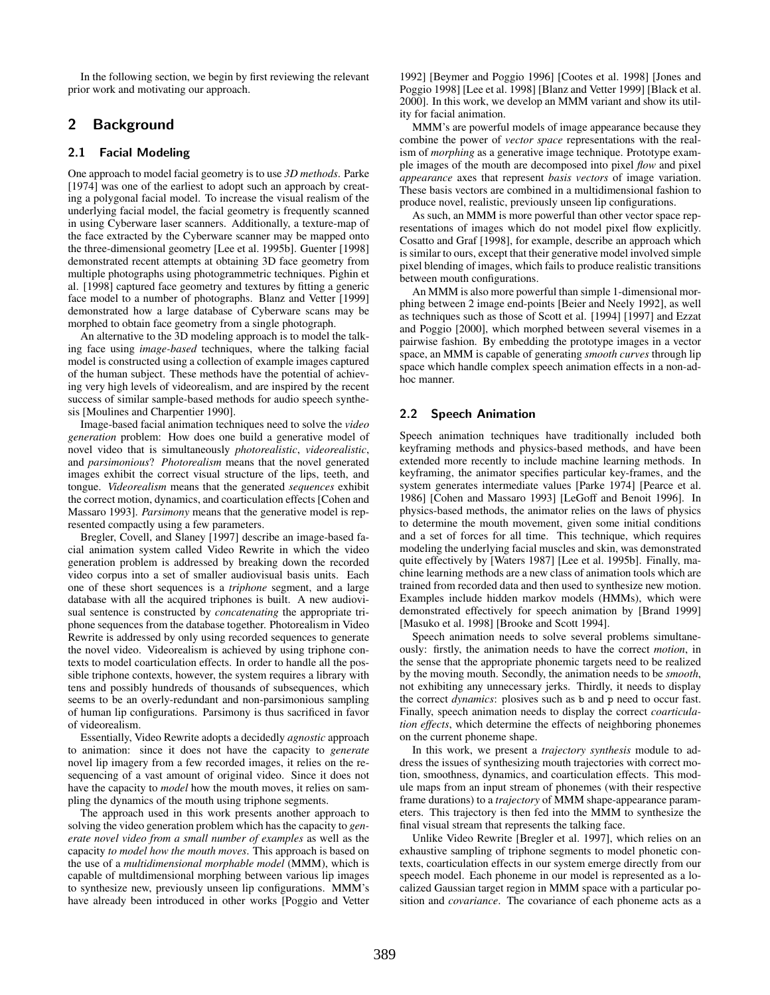In the following section, we begin by first reviewing the relevant prior work and motivating our approach.

# 2 Background

#### 2.1 Facial Modeling

One approach to model facial geometry is to use *3D methods*. Parke [1974] was one of the earliest to adopt such an approach by creating a polygonal facial model. To increase the visual realism of the underlying facial model, the facial geometry is frequently scanned in using Cyberware laser scanners. Additionally, a texture-map of the face extracted by the Cyberware scanner may be mapped onto the three-dimensional geometry [Lee et al. 1995b]. Guenter [1998] demonstrated recent attempts at obtaining 3D face geometry from multiple photographs using photogrammetric techniques. Pighin et al. [1998] captured face geometry and textures by fitting a generic face model to a number of photographs. Blanz and Vetter [1999] demonstrated how a large database of Cyberware scans may be morphed to obtain face geometry from a single photograph.

An alternative to the 3D modeling approach is to model the talking face using *image-based* techniques, where the talking facial model is constructed using a collection of example images captured of the human subject. These methods have the potential of achieving very high levels of videorealism, and are inspired by the recent success of similar sample-based methods for audio speech synthesis [Moulines and Charpentier 1990].

Image-based facial animation techniques need to solve the *video generation* problem: How does one build a generative model of novel video that is simultaneously *photorealistic*, *videorealistic*, and *parsimonious*? *Photorealism* means that the novel generated images exhibit the correct visual structure of the lips, teeth, and tongue. *Videorealism* means that the generated *sequences* exhibit the correct motion, dynamics, and coarticulation effects [Cohen and Massaro 1993]. *Parsimony* means that the generative model is represented compactly using a few parameters.

Bregler, Covell, and Slaney [1997] describe an image-based facial animation system called Video Rewrite in which the video generation problem is addressed by breaking down the recorded video corpus into a set of smaller audiovisual basis units. Each one of these short sequences is a *triphone* segment, and a large database with all the acquired triphones is built. A new audiovisual sentence is constructed by *concatenating* the appropriate triphone sequences from the database together. Photorealism in Video Rewrite is addressed by only using recorded sequences to generate the novel video. Videorealism is achieved by using triphone contexts to model coarticulation effects. In order to handle all the possible triphone contexts, however, the system requires a library with tens and possibly hundreds of thousands of subsequences, which seems to be an overly-redundant and non-parsimonious sampling of human lip configurations. Parsimony is thus sacrificed in favor of videorealism.

Essentially, Video Rewrite adopts a decidedly *agnostic* approach to animation: since it does not have the capacity to *generate* novel lip imagery from a few recorded images, it relies on the resequencing of a vast amount of original video. Since it does not have the capacity to *model* how the mouth moves, it relies on sampling the dynamics of the mouth using triphone segments.

The approach used in this work presents another approach to solving the video generation problem which has the capacity to *generate novel video from a small number of examples* as well as the capacity *to model how the mouth moves*. This approach is based on the use of a *multidimensional morphable model* (MMM), which is capable of multdimensional morphing between various lip images to synthesize new, previously unseen lip configurations. MMM's have already been introduced in other works [Poggio and Vetter

1992] [Beymer and Poggio 1996] [Cootes et al. 1998] [Jones and Poggio 1998] [Lee et al. 1998] [Blanz and Vetter 1999] [Black et al. 2000]. In this work, we develop an MMM variant and show its utility for facial animation.

MMM's are powerful models of image appearance because they combine the power of *vector space* representations with the realism of *morphing* as a generative image technique. Prototype example images of the mouth are decomposed into pixel *flow* and pixel *appearance* axes that represent *basis vectors* of image variation. These basis vectors are combined in a multidimensional fashion to produce novel, realistic, previously unseen lip configurations.

As such, an MMM is more powerful than other vector space representations of images which do not model pixel flow explicitly. Cosatto and Graf [1998], for example, describe an approach which is similar to ours, except that their generative model involved simple pixel blending of images, which fails to produce realistic transitions between mouth configurations.

An MMM is also more powerful than simple 1-dimensional morphing between 2 image end-points [Beier and Neely 1992], as well as techniques such as those of Scott et al. [1994] [1997] and Ezzat and Poggio [2000], which morphed between several visemes in a pairwise fashion. By embedding the prototype images in a vector space, an MMM is capable of generating *smooth curves* through lip space which handle complex speech animation effects in a non-adhoc manner.

### 2.2 Speech Animation

Speech animation techniques have traditionally included both keyframing methods and physics-based methods, and have been extended more recently to include machine learning methods. In keyframing, the animator specifies particular key-frames, and the system generates intermediate values [Parke 1974] [Pearce et al. 1986] [Cohen and Massaro 1993] [LeGoff and Benoit 1996]. In physics-based methods, the animator relies on the laws of physics to determine the mouth movement, given some initial conditions and a set of forces for all time. This technique, which requires modeling the underlying facial muscles and skin, was demonstrated quite effectively by [Waters 1987] [Lee et al. 1995b]. Finally, machine learning methods are a new class of animation tools which are trained from recorded data and then used to synthesize new motion. Examples include hidden markov models (HMMs), which were demonstrated effectively for speech animation by [Brand 1999] [Masuko et al. 1998] [Brooke and Scott 1994].

Speech animation needs to solve several problems simultaneously: firstly, the animation needs to have the correct *motion*, in the sense that the appropriate phonemic targets need to be realized by the moving mouth. Secondly, the animation needs to be *smooth*, not exhibiting any unnecessary jerks. Thirdly, it needs to display the correct *dynamics*: plosives such as b and p need to occur fast. Finally, speech animation needs to display the correct *coarticulation effects*, which determine the effects of neighboring phonemes on the current phoneme shape.

In this work, we present a *trajectory synthesis* module to address the issues of synthesizing mouth trajectories with correct motion, smoothness, dynamics, and coarticulation effects. This module maps from an input stream of phonemes (with their respective frame durations) to a *trajectory* of MMM shape-appearance parameters. This trajectory is then fed into the MMM to synthesize the final visual stream that represents the talking face.

Unlike Video Rewrite [Bregler et al. 1997], which relies on an exhaustive sampling of triphone segments to model phonetic contexts, coarticulation effects in our system emerge directly from our speech model. Each phoneme in our model is represented as a localized Gaussian target region in MMM space with a particular position and *covariance*. The covariance of each phoneme acts as a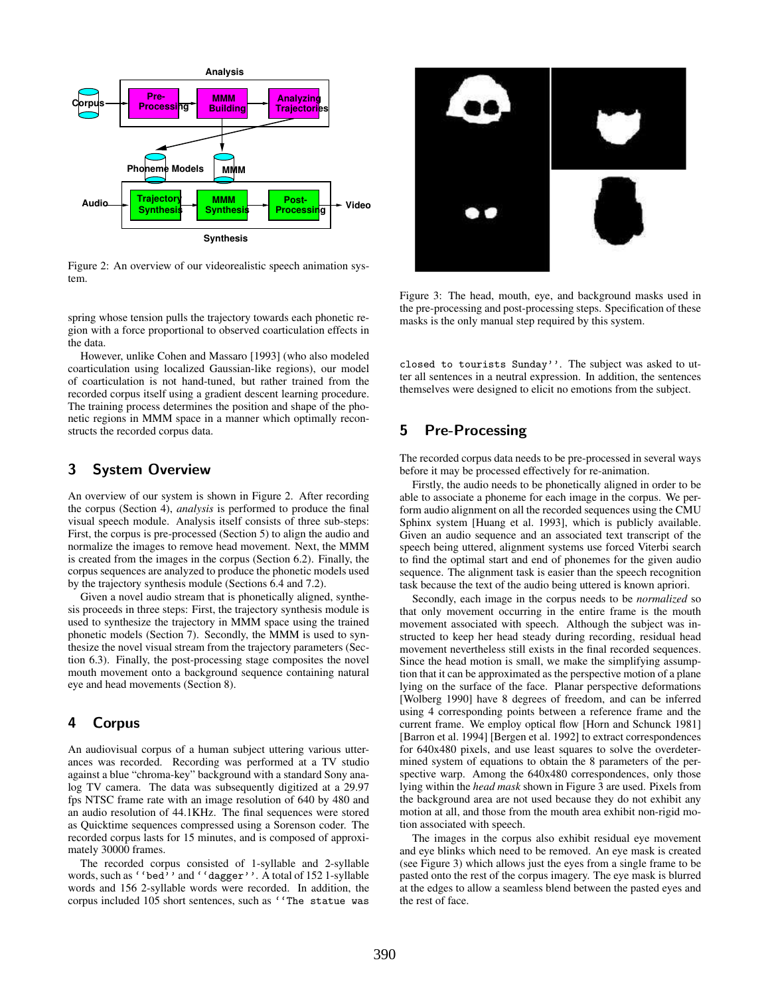

Figure 2: An overview of our videorealistic speech animation system.

spring whose tension pulls the trajectory towards each phonetic region with a force proportional to observed coarticulation effects in the data.

However, unlike Cohen and Massaro [1993] (who also modeled coarticulation using localized Gaussian-like regions), our model of coarticulation is not hand-tuned, but rather trained from the recorded corpus itself using a gradient descent learning procedure. The training process determines the position and shape of the phonetic regions in MMM space in a manner which optimally reconstructs the recorded corpus data.

# 3 System Overview

An overview of our system is shown in Figure 2. After recording the corpus (Section 4), *analysis* is performed to produce the final visual speech module. Analysis itself consists of three sub-steps: First, the corpus is pre-processed (Section 5) to align the audio and normalize the images to remove head movement. Next, the MMM is created from the images in the corpus (Section 6.2). Finally, the corpus sequences are analyzed to produce the phonetic models used by the trajectory synthesis module (Sections 6.4 and 7.2).

Given a novel audio stream that is phonetically aligned, synthesis proceeds in three steps: First, the trajectory synthesis module is used to synthesize the trajectory in MMM space using the trained phonetic models (Section 7). Secondly, the MMM is used to synthesize the novel visual stream from the trajectory parameters (Section 6.3). Finally, the post-processing stage composites the novel mouth movement onto a background sequence containing natural eye and head movements (Section 8).

### 4 Corpus

An audiovisual corpus of a human subject uttering various utterances was recorded. Recording was performed at a TV studio against a blue "chroma-key" background with a standard Sony analog TV camera. The data was subsequently digitized at a 29.97 fps NTSC frame rate with an image resolution of 640 by 480 and an audio resolution of 44.1KHz. The final sequences were stored as Quicktime sequences compressed using a Sorenson coder. The recorded corpus lasts for 15 minutes, and is composed of approximately 30000 frames.

The recorded corpus consisted of 1-syllable and 2-syllable words, such as ''bed'' and ''dagger''. A total of 152 1-syllable words and 156 2-syllable words were recorded. In addition, the corpus included 105 short sentences, such as ''The statue was



Figure 3: The head, mouth, eye, and background masks used in the pre-processing and post-processing steps. Specification of these masks is the only manual step required by this system.

closed to tourists Sunday''. The subject was asked to utter all sentences in a neutral expression. In addition, the sentences themselves were designed to elicit no emotions from the subject.

### 5 Pre-Processing

The recorded corpus data needs to be pre-processed in several ways before it may be processed effectively for re-animation.

Firstly, the audio needs to be phonetically aligned in order to be able to associate a phoneme for each image in the corpus. We perform audio alignment on all the recorded sequences using the CMU Sphinx system [Huang et al. 1993], which is publicly available. Given an audio sequence and an associated text transcript of the speech being uttered, alignment systems use forced Viterbi search to find the optimal start and end of phonemes for the given audio sequence. The alignment task is easier than the speech recognition task because the text of the audio being uttered is known apriori.

Secondly, each image in the corpus needs to be *normalized* so that only movement occurring in the entire frame is the mouth movement associated with speech. Although the subject was instructed to keep her head steady during recording, residual head movement nevertheless still exists in the final recorded sequences. Since the head motion is small, we make the simplifying assumption that it can be approximated as the perspective motion of a plane lying on the surface of the face. Planar perspective deformations [Wolberg 1990] have 8 degrees of freedom, and can be inferred using 4 corresponding points between a reference frame and the current frame. We employ optical flow [Horn and Schunck 1981] [Barron et al. 1994] [Bergen et al. 1992] to extract correspondences for 640x480 pixels, and use least squares to solve the overdetermined system of equations to obtain the 8 parameters of the perspective warp. Among the  $640x480$  correspondences, only those lying within the *head mask* shown in Figure 3 are used. Pixels from the background area are not used because they do not exhibit any motion at all, and those from the mouth area exhibit non-rigid motion associated with speech.

The images in the corpus also exhibit residual eye movement and eye blinks which need to be removed. An eye mask is created (see Figure 3) which allows just the eyes from a single frame to be pasted onto the rest of the corpus imagery. The eye mask is blurred at the edges to allow a seamless blend between the pasted eyes and the rest of face.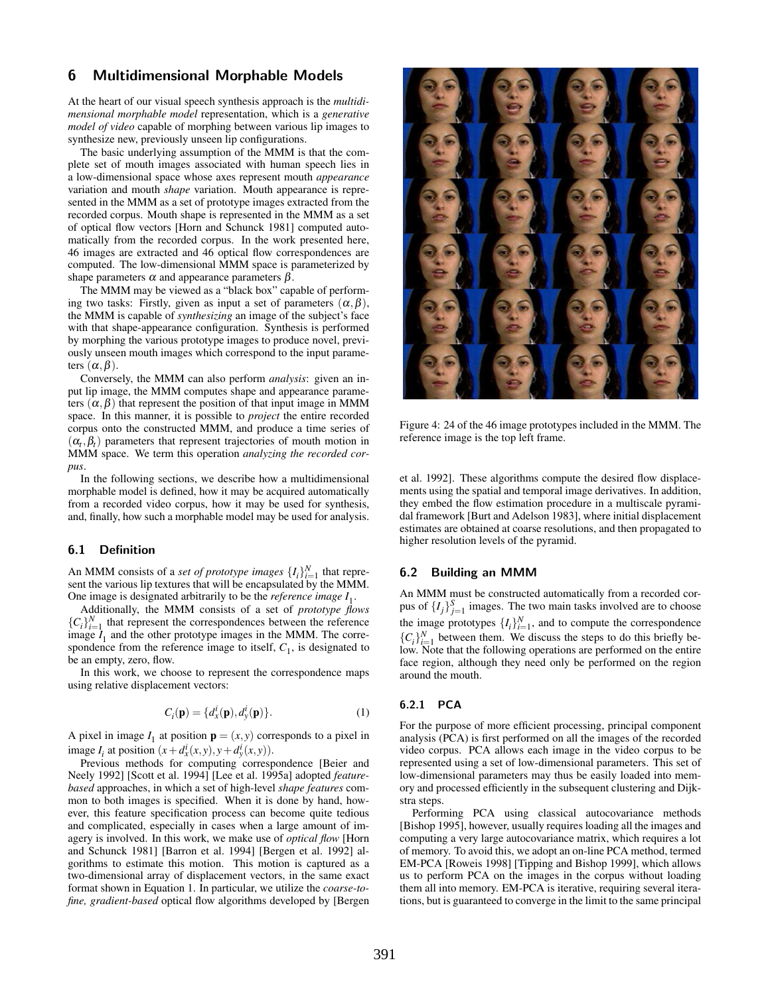### 6 Multidimensional Morphable Models

At the heart of our visual speech synthesis approach is the *multidimensional morphable model* representation, which is a *generative model of video* capable of morphing between various lip images to synthesize new, previously unseen lip configurations.

The basic underlying assumption of the MMM is that the complete set of mouth images associated with human speech lies in a low-dimensional space whose axes represent mouth *appearance* variation and mouth *shape* variation. Mouth appearance is represented in the MMM as a set of prototype images extracted from the recorded corpus. Mouth shape is represented in the MMM as a set of optical flow vectors [Horn and Schunck 1981] computed automatically from the recorded corpus. In the work presented here, 46 images are extracted and 46 optical flow correspondences are computed. The low-dimensional MMM space is parameterized by shape parameters  $\alpha$  and appearance parameters  $\beta$ .

The MMM may be viewed as a "black box" capable of performing two tasks: Firstly, given as input a set of parameters  $(\alpha, \beta)$ , the MMM is capable of *synthesizing* an image of the subject's face with that shape-appearance configuration. Synthesis is performed by morphing the various prototype images to produce novel, previously unseen mouth images which correspond to the input parameters  $(\alpha, \beta)$ .

Conversely, the MMM can also perform *analysis*: given an input lip image, the MMM computes shape and appearance parameters  $(\alpha, \beta)$  that represent the position of that input image in MMM space. In this manner, it is possible to *project* the entire recorded corpus onto the constructed MMM, and produce a time series of  $(\alpha_t, \beta_t)$  parameters that represent trajectories of mouth motion in MMM space. We term this operation *analyzing the recorded corpus*.

In the following sections, we describe how a multidimensional morphable model is defined, how it may be acquired automatically from a recorded video corpus, how it may be used for synthesis, and, finally, how such a morphable model may be used for analysis.

#### 6.1 Definition

An MMM consists of a *set of prototype images*  $\{I_i\}_{i=1}^N$  that represent the various lip textures that will be encapsulated by the MMM. One image is designated arbitrarily to be the *reference image I* 1 .

Additionally, the MMM consists of a set of *prototype flows*  ${C<sub>i</sub>}<sub>i=1</sub><sup>N</sup>$  that represent the correspondences between the reference image  $I_1$  and the other prototype images in the MMM. The correspondence from the reference image to itself,  $C_1$ , is designated to be an empty, zero, flow.

In this work, we choose to represent the correspondence maps using relative displacement vectors:

$$
C_i(\mathbf{p}) = \{d_x^i(\mathbf{p}), d_y^i(\mathbf{p})\}.
$$
 (1)

A pixel in image  $I_1$  at position  $\mathbf{p} = (x, y)$  corresponds to a pixel in image  $I_i$  at position  $(x + d_x^i(x, y), y + d_y^i(x, y))$ .

Previous methods for computing correspondence [Beier and Neely 1992] [Scott et al. 1994] [Lee et al. 1995a] adopted *featurebased* approaches, in which a set of high-level *shape features* common to both images is specified. When it is done by hand, however, this feature specification process can become quite tedious and complicated, especially in cases when a large amount of imagery is involved. In this work, we make use of *optical flow* [Horn and Schunck 1981] [Barron et al. 1994] [Bergen et al. 1992] algorithms to estimate this motion. This motion is captured as a two-dimensional array of displacement vectors, in the same exact format shown in Equation 1. In particular, we utilize the *coarse-tofine, gradient-based* optical flow algorithms developed by [Bergen



Figure 4: 24 of the 46 image prototypes included in the MMM. The reference image is the top left frame.

et al. 1992]. These algorithms compute the desired flow displacements using the spatial and temporal image derivatives. In addition, they embed the flow estimation procedure in a multiscale pyramidal framework [Burt and Adelson 1983], where initial displacement estimates are obtained at coarse resolutions, and then propagated to higher resolution levels of the pyramid.

#### 6.2 Building an MMM

An MMM must be constructed automatically from a recorded corpus of  $\{I_j\}_{j=1}^S$  images. The two main tasks involved are to choose the image prototypes  $\{I_i\}_{i=1}^N$ , and to compute the correspondence  ${C<sub>i</sub>}_{i=1}^N$  between them. We discuss the steps to do this briefly below. Note that the following operations are performed on the entire face region, although they need only be performed on the region around the mouth.

#### 6.2.1 PCA

For the purpose of more efficient processing, principal component analysis (PCA) is first performed on all the images of the recorded video corpus. PCA allows each image in the video corpus to be represented using a set of low-dimensional parameters. This set of low-dimensional parameters may thus be easily loaded into memory and processed efficiently in the subsequent clustering and Dijkstra steps.

Performing PCA using classical autocovariance methods [Bishop 1995], however, usually requires loading all the images and computing a very large autocovariance matrix, which requires a lot of memory. To avoid this, we adopt an on-line PCA method, termed EM-PCA [Roweis 1998] [Tipping and Bishop 1999], which allows us to perform PCA on the images in the corpus without loading them all into memory. EM-PCA is iterative, requiring several iterations, but is guaranteed to converge in the limit to the same principal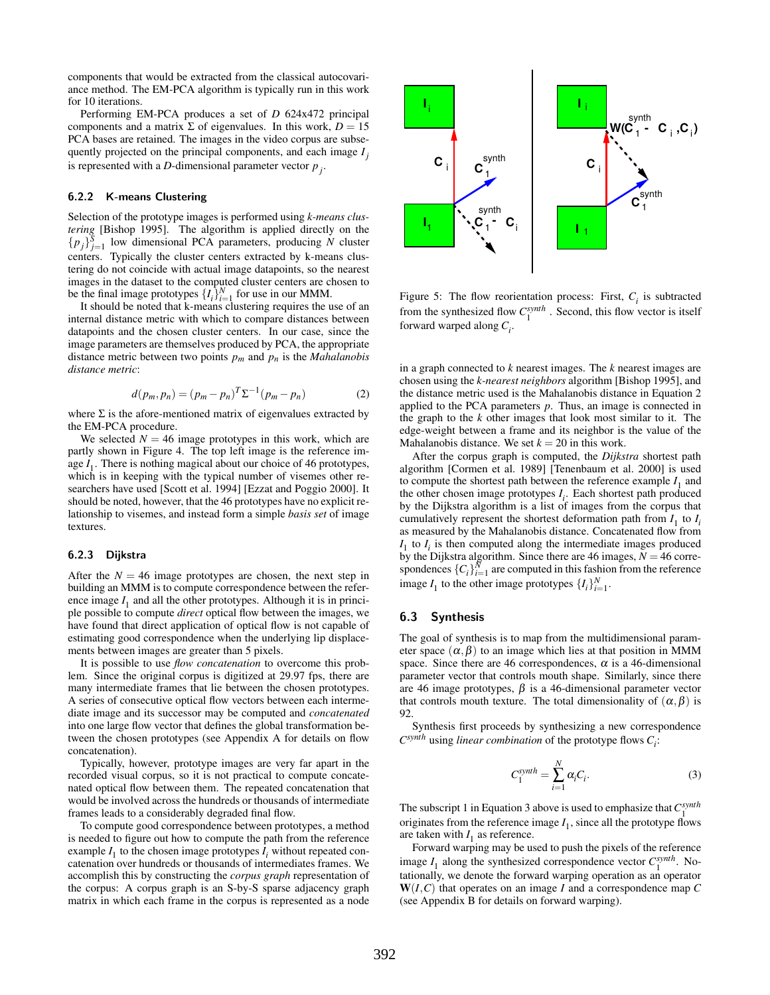components that would be extracted from the classical autocovariance method. The EM-PCA algorithm is typically run in this work for 10 iterations.

Performing EM-PCA produces a set of *D* 624x472 principal components and a matrix  $\Sigma$  of eigenvalues. In this work,  $D = 15$ PCA bases are retained. The images in the video corpus are subsequently projected on the principal components, and each image *I j* is represented with a *D*-dimensional parameter vector *p <sup>j</sup>* .

#### 6.2.2 K-means Clustering

Selection of the prototype images is performed using *k-means clustering* [Bishop 1995]. The algorithm is applied directly on the  ${p_j}_{j=1}^S$  low dimensional PCA parameters, producing *N* cluster centers. Typically the cluster centers extracted by k-means clustering do not coincide with actual image datapoints, so the nearest images in the dataset to the computed cluster centers are chosen to be the final image prototypes  $\{I_i\}_{i=1}^N$  for use in our MMM.

It should be noted that k-means clustering requires the use of an internal distance metric with which to compare distances between datapoints and the chosen cluster centers. In our case, since the image parameters are themselves produced by PCA, the appropriate distance metric between two points  $p_m$  and  $p_n$  is the *Mahalanobis distance metric*:

$$
d(p_m, p_n) = (p_m - p_n)^T \Sigma^{-1} (p_m - p_n)
$$
 (2)

where  $\Sigma$  is the afore-mentioned matrix of eigenvalues extracted by the EM-PCA procedure.

We selected  $N = 46$  image prototypes in this work, which are partly shown in Figure 4. The top left image is the reference image *I* 1 . There is nothing magical about our choice of 46 prototypes, which is in keeping with the typical number of visemes other researchers have used [Scott et al. 1994] [Ezzat and Poggio 2000]. It should be noted, however, that the 46 prototypes have no explicit relationship to visemes, and instead form a simple *basis set* of image textures.

#### 6.2.3 Dijkstra

After the  $N = 46$  image prototypes are chosen, the next step in building an MMM is to compute correspondence between the reference image  $I_1$  and all the other prototypes. Although it is in principle possible to compute *direct* optical flow between the images, we have found that direct application of optical flow is not capable of estimating good correspondence when the underlying lip displacements between images are greater than 5 pixels.

It is possible to use *flow concatenation* to overcome this problem. Since the original corpus is digitized at 29.97 fps, there are many intermediate frames that lie between the chosen prototypes. A series of consecutive optical flow vectors between each intermediate image and its successor may be computed and *concatenated* into one large flow vector that defines the global transformation between the chosen prototypes (see Appendix A for details on flow concatenation).

Typically, however, prototype images are very far apart in the recorded visual corpus, so it is not practical to compute concatenated optical flow between them. The repeated concatenation that would be involved across the hundreds or thousands of intermediate frames leads to a considerably degraded final flow.

To compute good correspondence between prototypes, a method is needed to figure out how to compute the path from the reference example  $I_1$  to the chosen image prototypes  $I_i$  without repeated concatenation over hundreds or thousands of intermediates frames. We accomplish this by constructing the *corpus graph* representation of the corpus: A corpus graph is an S-by-S sparse adjacency graph matrix in which each frame in the corpus is represented as a node



Figure 5: The flow reorientation process: First,  $C<sub>i</sub>$  is subtracted from the synthesized flow  $C_1^{synth}$ . Second, this flow vector is itself forward warped along *C<sup>i</sup>* .

in a graph connected to *k* nearest images. The *k* nearest images are chosen using the *k-nearest neighbors* algorithm [Bishop 1995], and the distance metric used is the Mahalanobis distance in Equation 2 applied to the PCA parameters *p*. Thus, an image is connected in the graph to the *k* other images that look most similar to it. The edge-weight between a frame and its neighbor is the value of the Mahalanobis distance. We set  $k = 20$  in this work.

After the corpus graph is computed, the *Dijkstra* shortest path algorithm [Cormen et al. 1989] [Tenenbaum et al. 2000] is used to compute the shortest path between the reference example  $I_1$  and the other chosen image prototypes  $I_i$ . Each shortest path produced by the Dijkstra algorithm is a list of images from the corpus that cumulatively represent the shortest deformation path from  $I_1$  to  $I_i$ as measured by the Mahalanobis distance. Concatenated flow from  $I_1$  to  $I_i$  is then computed along the intermediate images produced by the Dijkstra algorithm. Since there are 46 images,  $N = 46$  correspondences  ${C_i}_{i=1}^N$  are computed in this fashion from the reference image  $I_1$  to the other image prototypes  $\{I_i\}_{i=1}^N$ .

#### 6.3 Synthesis

The goal of synthesis is to map from the multidimensional parameter space  $(\alpha, \beta)$  to an image which lies at that position in MMM space. Since there are 46 correspondences,  $\alpha$  is a 46-dimensional parameter vector that controls mouth shape. Similarly, since there are 46 image prototypes,  $\beta$  is a 46-dimensional parameter vector that controls mouth texture. The total dimensionality of  $(\alpha, \beta)$  is 92.

Synthesis first proceeds by synthesizing a new correspondence  $C^{synth}$  using *linear combination* of the prototype flows  $C_i$ :

$$
C_1^{synth} = \sum_{i=1}^{N} \alpha_i C_i.
$$
 (3)

The subscript 1 in Equation 3 above is used to emphasize that  $C_1^{synth}$ originates from the reference image  $I_1$ , since all the prototype flows are taken with  $I_1$  as reference.

Forward warping may be used to push the pixels of the reference image  $I_1$  along the synthesized correspondence vector  $C_1^{synth}$ . Notationally, we denote the forward warping operation as an operator  $W(I, C)$  that operates on an image *I* and a correspondence map *C* (see Appendix B for details on forward warping).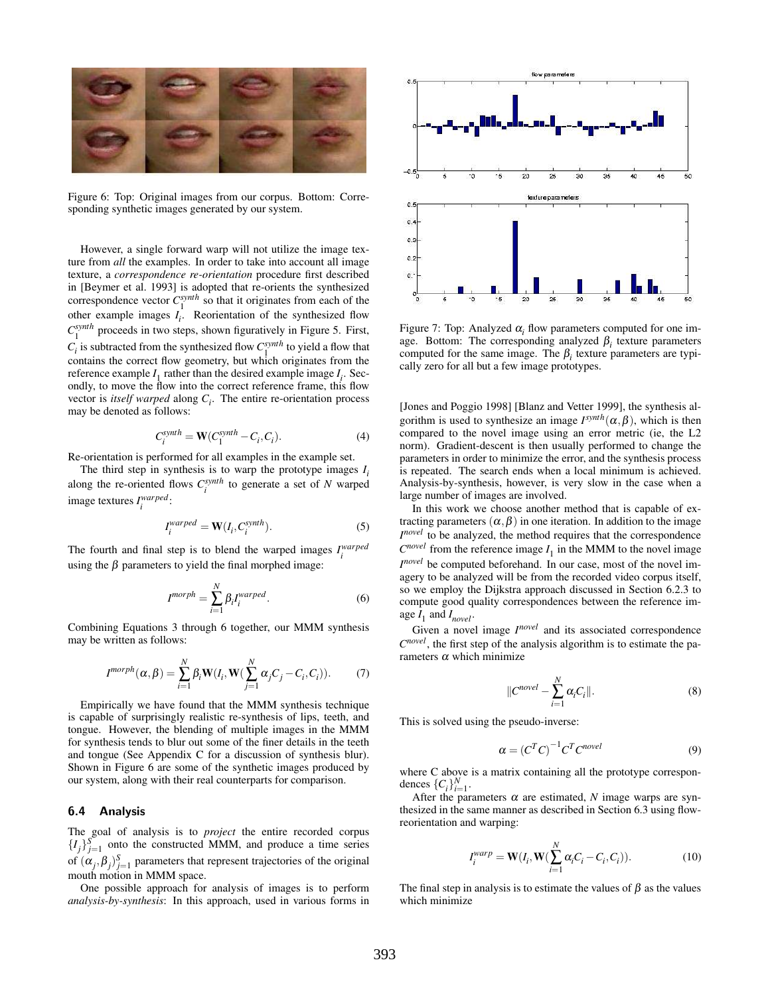

Figure 6: Top: Original images from our corpus. Bottom: Corresponding synthetic images generated by our system.

However, a single forward warp will not utilize the image texture from *all* the examples. In order to take into account all image texture, a *correspondence re-orientation* procedure first described in [Beymer et al. 1993] is adopted that re-orients the synthesized correspondence vector  $C_1^{synth}$  so that it originates from each of the other example images  $I_i$ . Reorientation of the synthesized flow  $C_1^{synth}$  proceeds in two steps, shown figuratively in Figure 5. First,  $C_i$  is subtracted from the synthesized flow  $C_1^{synth}$  to yield a flow that contains the correct flow geometry, but which originates from the reference example  $I_1$  rather than the desired example image  $I_i$ . Secondly, to move the flow into the correct reference frame, this flow vector is *itself warped* along *C<sup>i</sup>* . The entire re-orientation process may be denoted as follows:

$$
C_i^{synth} = \mathbf{W}(C_1^{synth} - C_i, C_i). \tag{4}
$$

Re-orientation is performed for all examples in the example set.

The third step in synthesis is to warp the prototype images  $I_i$ along the re-oriented flows  $C_i^{synth}$  to generate a set of *N* warped image textures *I warped i* :

$$
I_i^{warped} = \mathbf{W}(I_i, C_i^{synth}).
$$
\n(5)

The fourth and final step is to blend the warped images  $I_i^{warped}$ using the  $\beta$  parameters to yield the final morphed image:

$$
I^{morph} = \sum_{i=1}^{N} \beta_i I_i^{warped}.
$$
 (6)

Combining Equations 3 through 6 together, our MMM synthesis may be written as follows:

$$
I^{morph}(\alpha,\beta) = \sum_{i=1}^{N} \beta_i \mathbf{W}(I_i, \mathbf{W}(\sum_{j=1}^{N} \alpha_j C_j - C_i, C_i)).
$$
 (7)

Empirically we have found that the MMM synthesis technique is capable of surprisingly realistic re-synthesis of lips, teeth, and tongue. However, the blending of multiple images in the MMM for synthesis tends to blur out some of the finer details in the teeth and tongue (See Appendix C for a discussion of synthesis blur). Shown in Figure 6 are some of the synthetic images produced by our system, along with their real counterparts for comparison.

#### 6.4 Analysis

The goal of analysis is to *project* the entire recorded corpus  ${I_j}_{j=1}^S$  onto the constructed MMM, and produce a time series of  $(\alpha_j, \beta_j)_{j=1}^S$  parameters that represent trajectories of the original mouth motion in MMM space.

One possible approach for analysis of images is to perform *analysis-by-synthesis*: In this approach, used in various forms in



Figure 7: Top: Analyzed  $\alpha_i$  flow parameters computed for one image. Bottom: The corresponding analyzed  $\beta_i$  texture parameters computed for the same image. The  $\beta_i$  texture parameters are typically zero for all but a few image prototypes.

[Jones and Poggio 1998] [Blanz and Vetter 1999], the synthesis algorithm is used to synthesize an image  $I^{synth}(\alpha, \beta)$ , which is then compared to the novel image using an error metric (ie, the L2 norm). Gradient-descent is then usually performed to change the parameters in order to minimize the error, and the synthesis process is repeated. The search ends when a local minimum is achieved. Analysis-by-synthesis, however, is very slow in the case when a large number of images are involved.

In this work we choose another method that is capable of extracting parameters  $(\alpha, \beta)$  in one iteration. In addition to the image *I novel* to be analyzed, the method requires that the correspondence  $C^{novel}$  from the reference image  $I_1$  in the MMM to the novel image *I novel* be computed beforehand. In our case, most of the novel imagery to be analyzed will be from the recorded video corpus itself, so we employ the Dijkstra approach discussed in Section 6.2.3 to compute good quality correspondences between the reference image  $I_1$  and  $I_{novel}$ .

Given a novel image  $I^{novel}$  and its associated correspondence *C novel* , the first step of the analysis algorithm is to estimate the parameters  $\alpha$  which minimize

$$
||C^{novel} - \sum_{i=1}^{N} \alpha_i C_i||. \tag{8}
$$

This is solved using the pseudo-inverse:

$$
\alpha = \left(C^T C\right)^{-1} C^T C^{novel} \tag{9}
$$

where C above is a matrix containing all the prototype correspondences  $\{C_i\}_{i=1}^N$ .

After the parameters  $\alpha$  are estimated, *N* image warps are synthesized in the same manner as described in Section 6.3 using flowreorientation and warping:

$$
I_i^{warp} = \mathbf{W}(I_i, \mathbf{W}(\sum_{i=1}^N \alpha_i C_i - C_i, C_i)).
$$
 (10)

The final step in analysis is to estimate the values of  $\beta$  as the values which minimize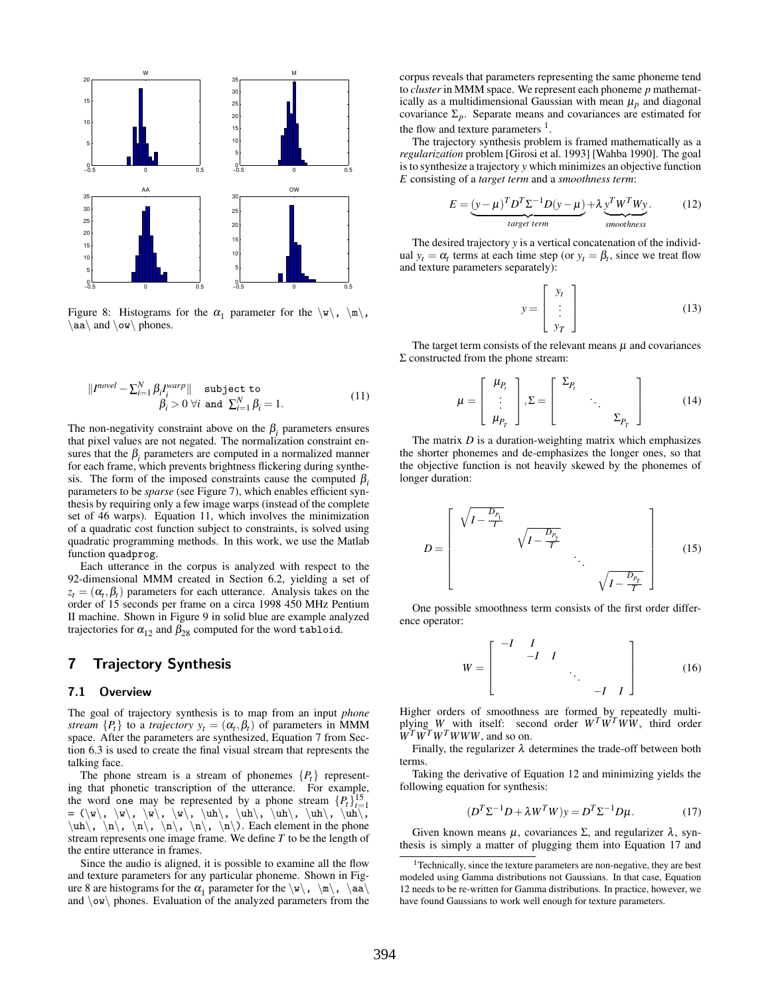

Figure 8: Histograms for the  $\alpha_1$  parameter for the  $\wedge w \wedge \wedge w \wedge$ ,  $\a \$  and  $\ow\$  phones.

$$
||I^{novel} - \sum_{i=1}^{N} \beta_i I_i^{warp}|| \text{ subject to}
$$
  

$$
\beta_i > 0 \ \forall i \text{ and } \sum_{i=1}^{N} \beta_i = 1.
$$
 (11)

The non-negativity constraint above on the  $\beta_i$  parameters ensures that pixel values are not negated. The normalization constraint ensures that the  $\beta_i$  parameters are computed in a normalized manner for each frame, which prevents brightness flickering during synthesis. The form of the imposed constraints cause the computed  $\beta$ parameters to be *sparse* (see Figure 7), which enables efficient synthesis by requiring only a few image warps (instead of the complete set of 46 warps). Equation 11, which involves the minimization of a quadratic cost function subject to constraints, is solved using quadratic programming methods. In this work, we use the Matlab function quadprog.

Each utterance in the corpus is analyzed with respect to the 92-dimensional MMM created in Section 6.2, yielding a set of  $z_t = (\alpha_t, \beta_t)$  parameters for each utterance. Analysis takes on the order of 15 seconds per frame on a circa 1998 450 MHz Pentium II machine. Shown in Figure 9 in solid blue are example analyzed trajectories for  $\alpha_{12}$  and  $\beta_{28}$  computed for the word tabloid.

### 7 Trajectory Synthesis

#### 7.1 Overview

The goal of trajectory synthesis is to map from an input *phone stream*  ${P_t}$  to a *trajectory*  $y_t = (\alpha_t, \beta_t)$  of parameters in MMM space. After the parameters are synthesized, Equation 7 from Section 6.3 is used to create the final visual stream that represents the talking face.

The phone stream is a stream of phonemes  ${P_t}$  representing that phonetic transcription of the utterance. For example, the word one may be represented by a phone stream  $\{P_t\}_{t=1}^{15}$  $= (\w\,, \w\,, \w\,, \w\,, \w\,, \u\}, \u\,, \u\,, \u\,, \u\,, \u\,$  $\langle \nu \rangle$ ,  $\langle n \rangle$ ,  $\langle n \rangle$ ,  $\langle n \rangle$ ,  $\langle n \rangle$ . Each element in the phone stream represents one image frame. We define *T* to be the length of the entire utterance in frames.

Since the audio is aligned, it is possible to examine all the flow and texture parameters for any particular phoneme. Shown in Figure 8 are histograms for the  $\alpha_1$  parameter for the  $\wedge \wedge \wedge \wedge$ ,  $\wedge$   $\wedge$ and  $\ow{\omega\}$  phones. Evaluation of the analyzed parameters from the corpus reveals that parameters representing the same phoneme tend to *cluster*in MMM space. We represent each phoneme *p* mathematically as a multidimensional Gaussian with mean  $\mu_p$  and diagonal covariance  $\Sigma_p$ . Separate means and covariances are estimated for the flow and texture parameters  $<sup>1</sup>$ .</sup>

The trajectory synthesis problem is framed mathematically as a *regularization* problem [Girosi et al. 1993] [Wahba 1990]. The goal isto synthesize a trajectory *y* which minimizes an objective function *E* consisting of a *target term* and a *smoothness term*:

$$
E = \underbrace{(y - \mu)^T D^T \Sigma^{-1} D(y - \mu)}_{target \ term} + \lambda \underbrace{y^T W^T W y}_{smoothness}.
$$
 (12)

The desired trajectory *y* is a vertical concatenation of the individual  $y_t = \alpha_t$  terms at each time step (or  $y_t = \beta_t$ , since we treat flow and texture parameters separately):

$$
= \left[ \begin{array}{c} y_t \\ \vdots \\ y_T \end{array} \right] \tag{13}
$$

The target term consists of the relevant means  $\mu$  and covariances Σ constructed from the phone stream:

*y* 

$$
\mu = \begin{bmatrix} \mu_{P_i} \\ \vdots \\ \mu_{P_T} \end{bmatrix}, \Sigma = \begin{bmatrix} \Sigma_{P_i} & & \\ & \ddots & \\ & & \Sigma_{P_T} \end{bmatrix}
$$
 (14)

The matrix *D* is a duration-weighting matrix which emphasizes the shorter phonemes and de-emphasizes the longer ones, so that the objective function is not heavily skewed by the phonemes of longer duration:

$$
D = \begin{bmatrix} \sqrt{I - \frac{D_{P_1}}{T}} & & & \\ & \sqrt{I - \frac{D_{P_2}}{T}} & \\ & & \ddots & \\ & & & \sqrt{I - \frac{D_{P_T}}{T}} \end{bmatrix}
$$
 (15)

One possible smoothness term consists of the first order difference operator:

$$
W = \begin{bmatrix} -I & I & & & \\ & -I & I & & \\ & & & \ddots & \\ & & & & -I & I \end{bmatrix}
$$
 (16)

Higher orders of smoothness are formed by repeatedly multiplying *W* with itself: second order  $W^T W^T W W$ , third order  $W^T W^T W^T W W W$ , and so on.

Finally, the regularizer  $\lambda$  determines the trade-off between both terms.

Taking the derivative of Equation 12 and minimizing yields the following equation for synthesis:

$$
(D^T \Sigma^{-1} D + \lambda W^T W) y = D^T \Sigma^{-1} D \mu.
$$
 (17)

Given known means  $\mu$ , covariances  $\Sigma$ , and regularizer  $\lambda$ , synthesis is simply a matter of plugging them into Equation 17 and

<sup>1</sup>Technically, since the texture parameters are non-negative, they are best modeled using Gamma distributions not Gaussians. In that case, Equation 12 needs to be re-written for Gamma distributions. In practice, however, we have found Gaussians to work well enough for texture parameters.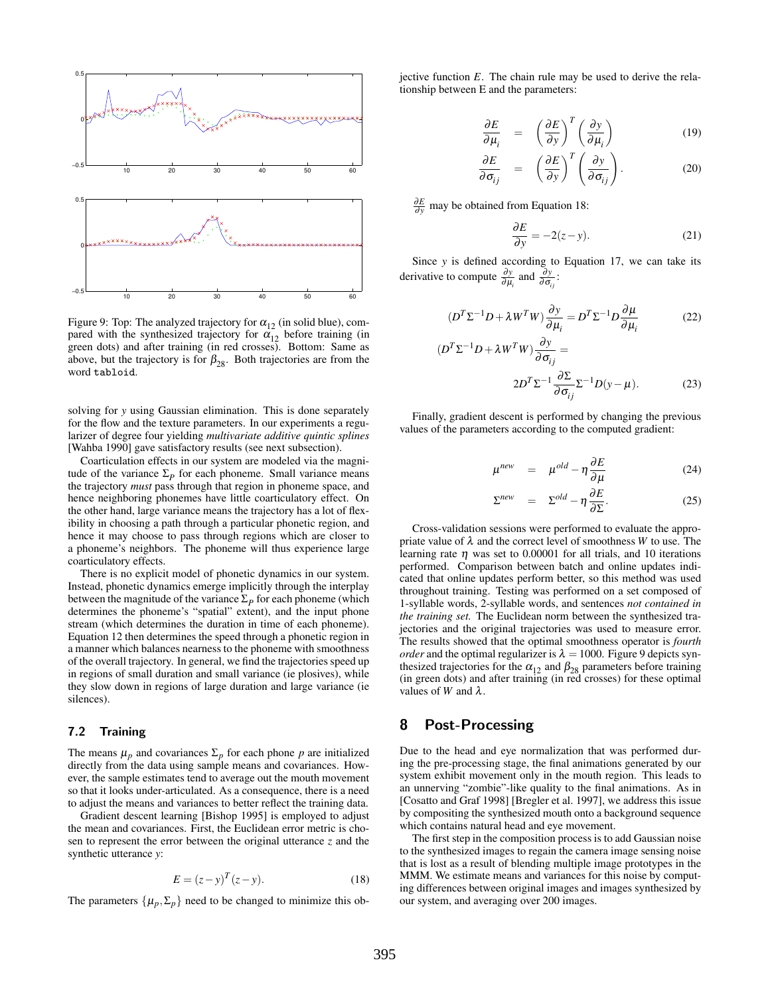

Figure 9: Top: The analyzed trajectory for  $\alpha_{12}$  (in solid blue), compared with the synthesized trajectory for  $\alpha_{12}$  before training (in green dots) and after training (in red crosses). Bottom: Same as above, but the trajectory is for  $\beta_{28}$ . Both trajectories are from the word tabloid.

solving for *y* using Gaussian elimination. This is done separately for the flow and the texture parameters. In our experiments a regularizer of degree four yielding *multivariate additive quintic splines* [Wahba 1990] gave satisfactory results (see next subsection).

Coarticulation effects in our system are modeled via the magnitude of the variance  $\Sigma_p$  for each phoneme. Small variance means the trajectory *must* pass through that region in phoneme space, and hence neighboring phonemes have little coarticulatory effect. On the other hand, large variance means the trajectory has a lot of flexibility in choosing a path through a particular phonetic region, and hence it may choose to pass through regions which are closer to a phoneme's neighbors. The phoneme will thus experience large coarticulatory effects.

There is no explicit model of phonetic dynamics in our system. Instead, phonetic dynamics emerge implicitly through the interplay between the magnitude of the variance  $\Sigma_p$  for each phoneme (which determines the phoneme's "spatial" extent), and the input phone stream (which determines the duration in time of each phoneme). Equation 12 then determines the speed through a phonetic region in a manner which balances nearness to the phoneme with smoothness of the overall trajectory. In general, we find the trajectories speed up in regions of small duration and small variance (ie plosives), while they slow down in regions of large duration and large variance (ie silences).

#### 7.2 Training

The means  $\mu_p$  and covariances  $\Sigma_p$  for each phone *p* are initialized directly from the data using sample means and covariances. However, the sample estimates tend to average out the mouth movement so that it looks under-articulated. As a consequence, there is a need to adjust the means and variances to better reflect the training data.

Gradient descent learning [Bishop 1995] is employed to adjust the mean and covariances. First, the Euclidean error metric is chosen to represent the error between the original utterance *z* and the synthetic utterance *y*:

$$
E = (z - y)^T (z - y). \tag{18}
$$

The parameters  $\{\mu_p, \Sigma_p\}$  need to be changed to minimize this ob-

jective function  $E$ . The chain rule may be used to derive the relationship between E and the parameters:

$$
\frac{\partial E}{\partial \mu_i} = \left(\frac{\partial E}{\partial y}\right)^T \left(\frac{\partial y}{\partial \mu_i}\right) \tag{19}
$$

$$
\frac{\partial E}{\partial \sigma_{ij}} = \left(\frac{\partial E}{\partial y}\right)^T \left(\frac{\partial y}{\partial \sigma_{ij}}\right). \tag{20}
$$

∂*E* <sup>∂</sup> *<sup>y</sup>* may be obtained from Equation 18:

$$
\frac{\partial E}{\partial y} = -2(z - y). \tag{21}
$$

Since *y* is defined according to Equation 17, we can take its derivative to compute  $\frac{\partial y}{\partial \mu_i}$  and  $\frac{\partial y}{\partial \sigma_{ij}}$ :

$$
(D^T \Sigma^{-1} D + \lambda W^T W) \frac{\partial y}{\partial \mu_i} = D^T \Sigma^{-1} D \frac{\partial \mu}{\partial \mu_i}
$$
 (22)

$$
(D^T \Sigma^{-1} D + \lambda W^T W) \frac{\partial y}{\partial \sigma_{ij}} =
$$
  

$$
2D^T \Sigma^{-1} \frac{\partial \Sigma}{\partial \sigma_{ij}} \Sigma^{-1} D(y - \mu).
$$
 (23)

Finally, gradient descent is performed by changing the previous values of the parameters according to the computed gradient:

$$
\mu^{new} = \mu^{old} - \eta \frac{\partial E}{\partial \mu} \tag{24}
$$

$$
\Sigma^{new} = \Sigma^{old} - \eta \frac{\partial E}{\partial \Sigma}.
$$
 (25)

Cross-validation sessions were performed to evaluate the appropriate value of  $\lambda$  and the correct level of smoothness *W* to use. The learning rate  $\eta$  was set to 0.00001 for all trials, and 10 iterations performed. Comparison between batch and online updates indicated that online updates perform better, so this method was used throughout training. Testing was performed on a set composed of 1-syllable words, 2-syllable words, and sentences *not contained in the training set.* The Euclidean norm between the synthesized trajectories and the original trajectories was used to measure error. The results showed that the optimal smoothness operator is *fourth order* and the optimal regularizer is  $\lambda = 1000$ . Figure 9 depicts synthesized trajectories for the  $\alpha_{12}$  and  $\beta_{28}$  parameters before training (in green dots) and after training (in red crosses) for these optimal values of *W* and  $\lambda$ .

### 8 Post-Processing

Due to the head and eye normalization that was performed during the pre-processing stage, the final animations generated by our system exhibit movement only in the mouth region. This leads to an unnerving "zombie"-like quality to the final animations. As in [Cosatto and Graf 1998] [Bregler et al. 1997], we address this issue by compositing the synthesized mouth onto a background sequence which contains natural head and eye movement.

The first step in the composition process is to add Gaussian noise to the synthesized images to regain the camera image sensing noise that is lost as a result of blending multiple image prototypes in the MMM. We estimate means and variances for this noise by computing differences between original images and images synthesized by our system, and averaging over 200 images.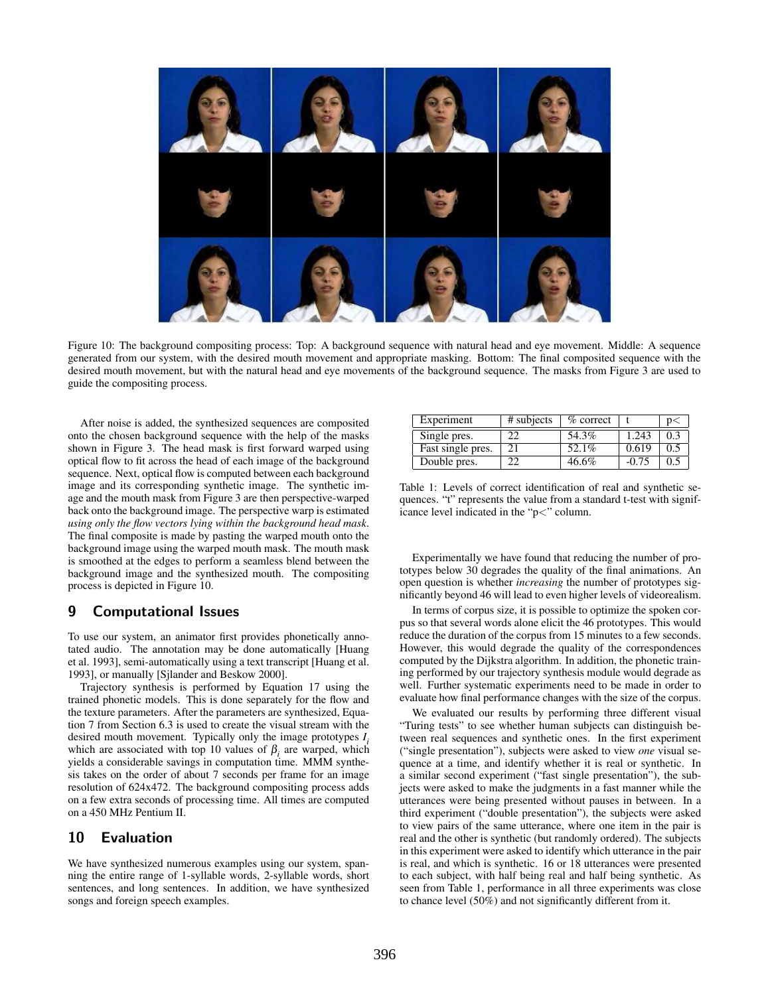

Figure 10: The background compositing process: Top: A background sequence with natural head and eye movement. Middle: A sequence generated from our system, with the desired mouth movement and appropriate masking. Bottom: The final composited sequence with the desired mouth movement, but with the natural head and eye movements of the background sequence. The masks from Figure 3 are used to guide the compositing process.

After noise is added, the synthesized sequences are composited onto the chosen background sequence with the help of the masks shown in Figure 3. The head mask is first forward warped using optical flow to fit across the head of each image of the background sequence. Next, optical flow is computed between each background image and its corresponding synthetic image. The synthetic image and the mouth mask from Figure 3 are then perspective-warped back onto the background image. The perspective warp is estimated *using only the flow vectors lying within the background head mask*. The final composite is made by pasting the warped mouth onto the background image using the warped mouth mask. The mouth mask is smoothed at the edges to perform a seamless blend between the background image and the synthesized mouth. The compositing process is depicted in Figure 10.

### 9 Computational Issues

To use our system, an animator first provides phonetically annotated audio. The annotation may be done automatically [Huang et al. 1993], semi-automatically using a text transcript [Huang et al. 1993], or manually [Sjlander and Beskow 2000].

Trajectory synthesis is performed by Equation 17 using the trained phonetic models. This is done separately for the flow and the texture parameters. After the parameters are synthesized, Equation 7 from Section 6.3 is used to create the visual stream with the desired mouth movement. Typically only the image prototypes *I i* which are associated with top 10 values of  $\beta$ <sub>*i*</sub> are warped, which yields a considerable savings in computation time. MMM synthesis takes on the order of about 7 seconds per frame for an image resolution of 624x472. The background compositing process adds on a few extra seconds of processing time. All times are computed on a 450 MHz Pentium II.

### 10 Evaluation

We have synthesized numerous examples using our system, spanning the entire range of 1-syllable words, 2-syllable words, short sentences, and long sentences. In addition, we have synthesized songs and foreign speech examples.

| Experiment        | # subjects | $\%$ correct |         |  |
|-------------------|------------|--------------|---------|--|
| Single pres.      |            | 54.3%        | 1.243   |  |
| Fast single pres. | 21         | 52.1%        | 0.619   |  |
| Double pres.      |            | 46.6%        | $-0.75$ |  |

Table 1: Levels of correct identification of real and synthetic sequences. "t" represents the value from a standard t-test with significance level indicated in the " $p <$ " column.

Experimentally we have found that reducing the number of prototypes below 30 degrades the quality of the final animations. An open question is whether *increasing* the number of prototypes significantly beyond 46 will lead to even higher levels of videorealism.

In terms of corpus size, it is possible to optimize the spoken corpus so that several words alone elicit the 46 prototypes. This would reduce the duration of the corpus from 15 minutes to a few seconds. However, this would degrade the quality of the correspondences computed by the Dijkstra algorithm. In addition, the phonetic training performed by our trajectory synthesis module would degrade as well. Further systematic experiments need to be made in order to evaluate how final performance changes with the size of the corpus.

We evaluated our results by performing three different visual "Turing tests" to see whether human subjects can distinguish between real sequences and synthetic ones. In the first experiment ("single presentation"), subjects were asked to view *one* visual sequence at a time, and identify whether it is real or synthetic. In a similar second experiment ("fast single presentation"), the subjects were asked to make the judgments in a fast manner while the utterances were being presented without pauses in between. In a third experiment ("double presentation"), the subjects were asked to view pairs of the same utterance, where one item in the pair is real and the other is synthetic (but randomly ordered). The subjects in this experiment were asked to identify which utterance in the pair is real, and which is synthetic. 16 or 18 utterances were presented to each subject, with half being real and half being synthetic. As seen from Table 1, performance in all three experiments was close to chance level (50%) and not significantly different from it.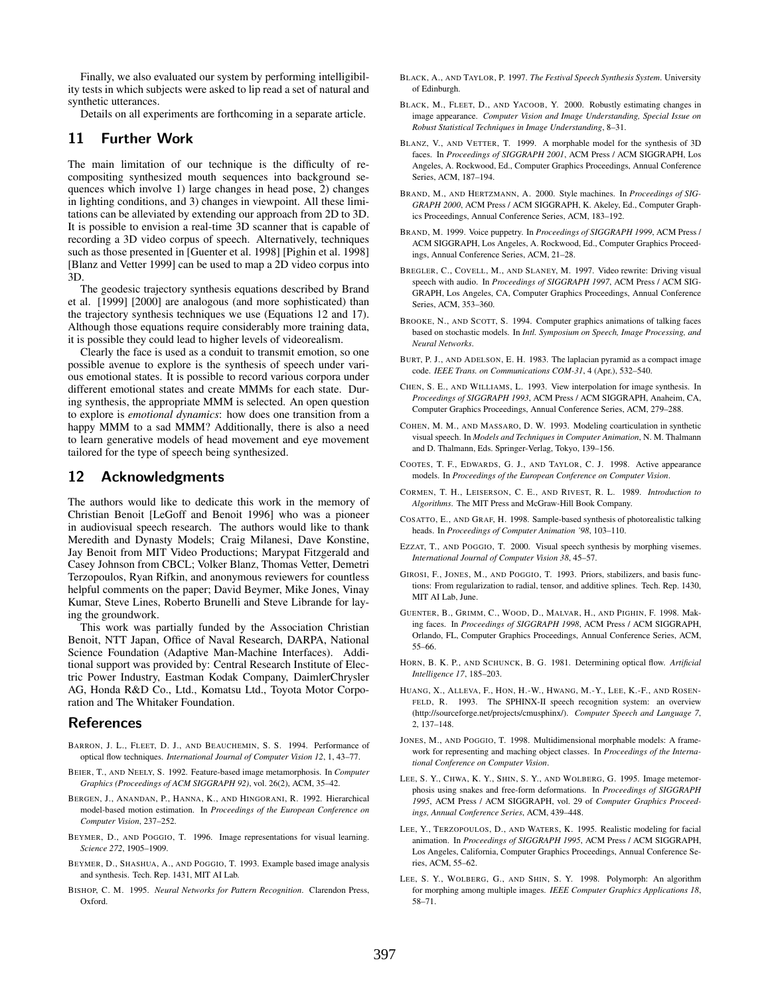Finally, we also evaluated our system by performing intelligibility tests in which subjects were asked to lip read a set of natural and synthetic utterances.

Details on all experiments are forthcoming in a separate article.

### 11 Further Work

The main limitation of our technique is the difficulty of recompositing synthesized mouth sequences into background sequences which involve 1) large changes in head pose, 2) changes in lighting conditions, and 3) changes in viewpoint. All these limitations can be alleviated by extending our approach from 2D to 3D. It is possible to envision a real-time 3D scanner that is capable of recording a 3D video corpus of speech. Alternatively, techniques such as those presented in [Guenter et al. 1998] [Pighin et al. 1998] [Blanz and Vetter 1999] can be used to map a 2D video corpus into 3D.

The geodesic trajectory synthesis equations described by Brand et al. [1999] [2000] are analogous (and more sophisticated) than the trajectory synthesis techniques we use (Equations 12 and 17). Although those equations require considerably more training data, it is possible they could lead to higher levels of videorealism.

Clearly the face is used as a conduit to transmit emotion, so one possible avenue to explore is the synthesis of speech under various emotional states. It is possible to record various corpora under different emotional states and create MMMs for each state. During synthesis, the appropriate MMM is selected. An open question to explore is *emotional dynamics*: how does one transition from a happy MMM to a sad MMM? Additionally, there is also a need to learn generative models of head movement and eye movement tailored for the type of speech being synthesized.

#### 12 Acknowledgments

The authors would like to dedicate this work in the memory of Christian Benoit [LeGoff and Benoit 1996] who was a pioneer in audiovisual speech research. The authors would like to thank Meredith and Dynasty Models; Craig Milanesi, Dave Konstine, Jay Benoit from MIT Video Productions; Marypat Fitzgerald and Casey Johnson from CBCL; Volker Blanz, Thomas Vetter, Demetri Terzopoulos, Ryan Rifkin, and anonymous reviewers for countless helpful comments on the paper; David Beymer, Mike Jones, Vinay Kumar, Steve Lines, Roberto Brunelli and Steve Librande for laying the groundwork.

This work was partially funded by the Association Christian Benoit, NTT Japan, Office of Naval Research, DARPA, National Science Foundation (Adaptive Man-Machine Interfaces). Additional support was provided by: Central Research Institute of Electric Power Industry, Eastman Kodak Company, DaimlerChrysler AG, Honda R&D Co., Ltd., Komatsu Ltd., Toyota Motor Corporation and The Whitaker Foundation.

### References

- BARRON, J. L., FLEET, D. J., AND BEAUCHEMIN, S. S. 1994. Performance of optical flow techniques. *International Journal of Computer Vision 12*, 1, 43–77.
- BEIER, T., AND NEELY, S. 1992. Feature-based image metamorphosis. In *Computer Graphics (Proceedings of ACM SIGGRAPH 92)*, vol. 26(2), ACM, 35–42.
- BERGEN, J., ANANDAN, P., HANNA, K., AND HINGORANI, R. 1992. Hierarchical model-based motion estimation. In *Proceedings of the European Conference on Computer Vision*, 237–252.
- BEYMER, D., AND POGGIO, T. 1996. Image representations for visual learning. *Science 272*, 1905–1909.
- BEYMER, D., SHASHUA, A., AND POGGIO, T. 1993. Example based image analysis and synthesis. Tech. Rep. 1431, MIT AI Lab.
- BISHOP, C. M. 1995. *Neural Networks for Pattern Recognition*. Clarendon Press, Oxford.
- BLACK, A., AND TAYLOR, P. 1997. *The Festival Speech Synthesis System*. University of Edinburgh.
- BLACK, M., FLEET, D., AND YACOOB, Y. 2000. Robustly estimating changes in image appearance. *Computer Vision and Image Understanding, Special Issue on Robust Statistical Techniques in Image Understanding*, 8–31.
- BLANZ, V., AND VETTER, T. 1999. A morphable model for the synthesis of 3D faces. In *Proceedings of SIGGRAPH 2001*, ACM Press / ACM SIGGRAPH, Los Angeles, A. Rockwood, Ed., Computer Graphics Proceedings, Annual Conference Series, ACM, 187-194.
- BRAND, M., AND HERTZMANN, A. 2000. Style machines. In *Proceedings of SIG-GRAPH 2000*, ACM Press / ACM SIGGRAPH, K. Akeley, Ed., Computer Graphics Proceedings, Annual Conference Series, ACM, 183–192.
- BRAND, M. 1999. Voice puppetry. In *Proceedings of SIGGRAPH 1999*, ACM Press / ACM SIGGRAPH, Los Angeles, A. Rockwood, Ed., Computer Graphics Proceedings, Annual Conference Series, ACM, 21–28.
- BREGLER, C., COVELL, M., AND SLANEY, M. 1997. Video rewrite: Driving visual speech with audio. In *Proceedings of SIGGRAPH 1997*, ACM Press / ACM SIG-GRAPH, Los Angeles, CA, Computer Graphics Proceedings, Annual Conference Series, ACM, 353–360.
- BROOKE, N., AND SCOTT, S. 1994. Computer graphics animations of talking faces based on stochastic models. In *Intl. Symposium on Speech, Image Processing, and Neural Networks*.
- BURT, P. J., AND ADELSON, E. H. 1983. The laplacian pyramid as a compact image code. *IEEE Trans. on Communications COM-31*, 4 (Apr.), 532–540.
- CHEN, S. E., AND WILLIAMS, L. 1993. View interpolation for image synthesis. In *Proceedings of SIGGRAPH 1993*, ACM Press / ACM SIGGRAPH, Anaheim, CA, Computer Graphics Proceedings, Annual Conference Series, ACM, 279–288.
- COHEN, M. M., AND MASSARO, D. W. 1993. Modeling coarticulation in synthetic visual speech. In *Models and Techniques in Computer Animation*, N. M. Thalmann and D. Thalmann, Eds. Springer-Verlag, Tokyo, 139–156.
- COOTES, T. F., EDWARDS, G. J., AND TAYLOR, C. J. 1998. Active appearance models. In *Proceedings of the European Conference on Computer Vision*.
- CORMEN, T. H., LEISERSON, C. E., AND RIVEST, R. L. 1989. *Introduction to Algorithms*. The MIT Press and McGraw-Hill Book Company.
- COSATTO, E., AND GRAF, H. 1998. Sample-based synthesis of photorealistic talking heads. In *Proceedings of Computer Animation '98*, 103–110.
- EZZAT, T., AND POGGIO, T. 2000. Visual speech synthesis by morphing visemes. *International Journal of Computer Vision 38*, 45–57.
- GIROSI, F., JONES, M., AND POGGIO, T. 1993. Priors, stabilizers, and basis functions: From regularization to radial, tensor, and additive splines. Tech. Rep. 1430, MIT AI Lab, June.
- GUENTER, B., GRIMM, C., WOOD, D., MALVAR, H., AND PIGHIN, F. 1998. Making faces. In *Proceedings of SIGGRAPH 1998*, ACM Press / ACM SIGGRAPH, Orlando, FL, Computer Graphics Proceedings, Annual Conference Series, ACM, 55–66.
- HORN, B. K. P., AND SCHUNCK, B. G. 1981. Determining optical flow. *Artificial Intelligence 17*, 185–203.
- HUANG, X., ALLEVA, F., HON, H.-W., HWANG, M.-Y., LEE, K.-F., AND ROSEN-FELD, R. 1993. The SPHINX-II speech recognition system: an overview (http://sourceforge.net/projects/cmusphinx/). *Computer Speech and Language 7*, 2, 137–148.
- JONES, M., AND POGGIO, T. 1998. Multidimensional morphable models: A framework for representing and maching object classes. In *Proceedings of the International Conference on Computer Vision*.
- LEE, S. Y., CHWA, K. Y., SHIN, S. Y., AND WOLBERG, G. 1995. Image metemorphosis using snakes and free-form deformations. In *Proceedings of SIGGRAPH 1995*, ACM Press / ACM SIGGRAPH, vol. 29 of *Computer Graphics Proceedings, Annual Conference Series*, ACM, 439–448.
- LEE, Y., TERZOPOULOS, D., AND WATERS, K. 1995. Realistic modeling for facial animation. In *Proceedings of SIGGRAPH 1995*, ACM Press / ACM SIGGRAPH, Los Angeles, California, Computer Graphics Proceedings, Annual Conference Series, ACM, 55–62.
- LEE, S. Y., WOLBERG, G., AND SHIN, S. Y. 1998. Polymorph: An algorithm for morphing among multiple images. *IEEE Computer Graphics Applications 18*, 58–71.